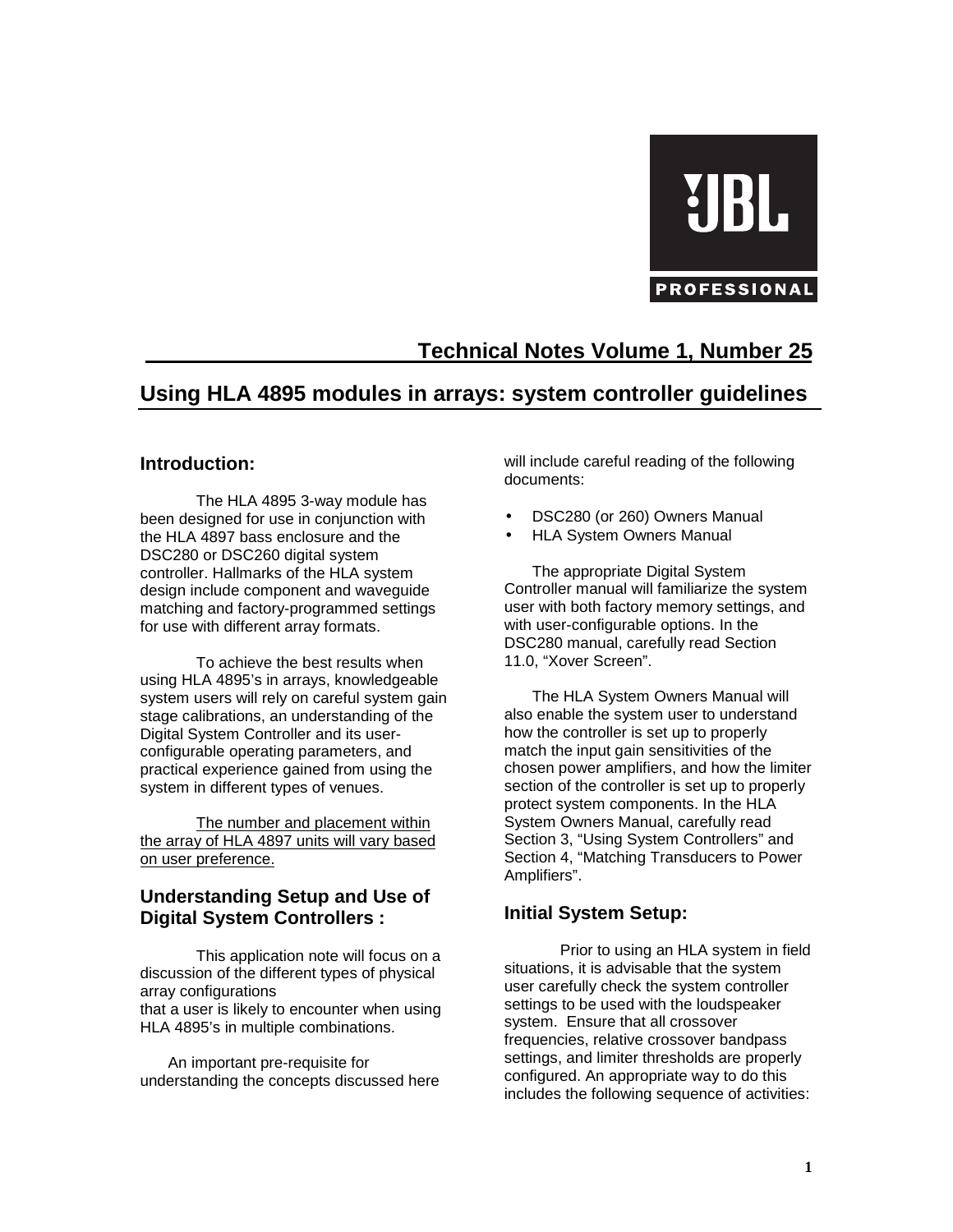# UBI PROFESSIONAL

# **Technical Notes Volume 1, Number 25**

## **Using HLA 4895 modules in arrays: system controller guidelines**

#### **Introduction:**

The HLA 4895 3-way module has been designed for use in conjunction with the HLA 4897 bass enclosure and the DSC280 or DSC260 digital system controller. Hallmarks of the HLA system design include component and waveguide matching and factory-programmed settings for use with different array formats.

To achieve the best results when using HLA 4895's in arrays, knowledgeable system users will rely on careful system gain stage calibrations, an understanding of the Digital System Controller and its userconfigurable operating parameters, and practical experience gained from using the system in different types of venues.

The number and placement within the array of HLA 4897 units will vary based on user preference.

## **Understanding Setup and Use of Digital System Controllers :**

This application note will focus on a discussion of the different types of physical array configurations

that a user is likely to encounter when using HLA 4895's in multiple combinations.

An important pre-requisite for understanding the concepts discussed here will include careful reading of the following documents:

- DSC280 (or 260) Owners Manual
- HLA System Owners Manual

The appropriate Digital System Controller manual will familiarize the system user with both factory memory settings, and with user-configurable options. In the DSC280 manual, carefully read Section 11.0, "Xover Screen".

The HLA System Owners Manual will also enable the system user to understand how the controller is set up to properly match the input gain sensitivities of the chosen power amplifiers, and how the limiter section of the controller is set up to properly protect system components. In the HLA System Owners Manual, carefully read Section 3, "Using System Controllers" and Section 4, "Matching Transducers to Power Amplifiers".

## **Initial System Setup:**

Prior to using an HLA system in field situations, it is advisable that the system user carefully check the system controller settings to be used with the loudspeaker system. Ensure that all crossover frequencies, relative crossover bandpass settings, and limiter thresholds are properly configured. An appropriate way to do this includes the following sequence of activities: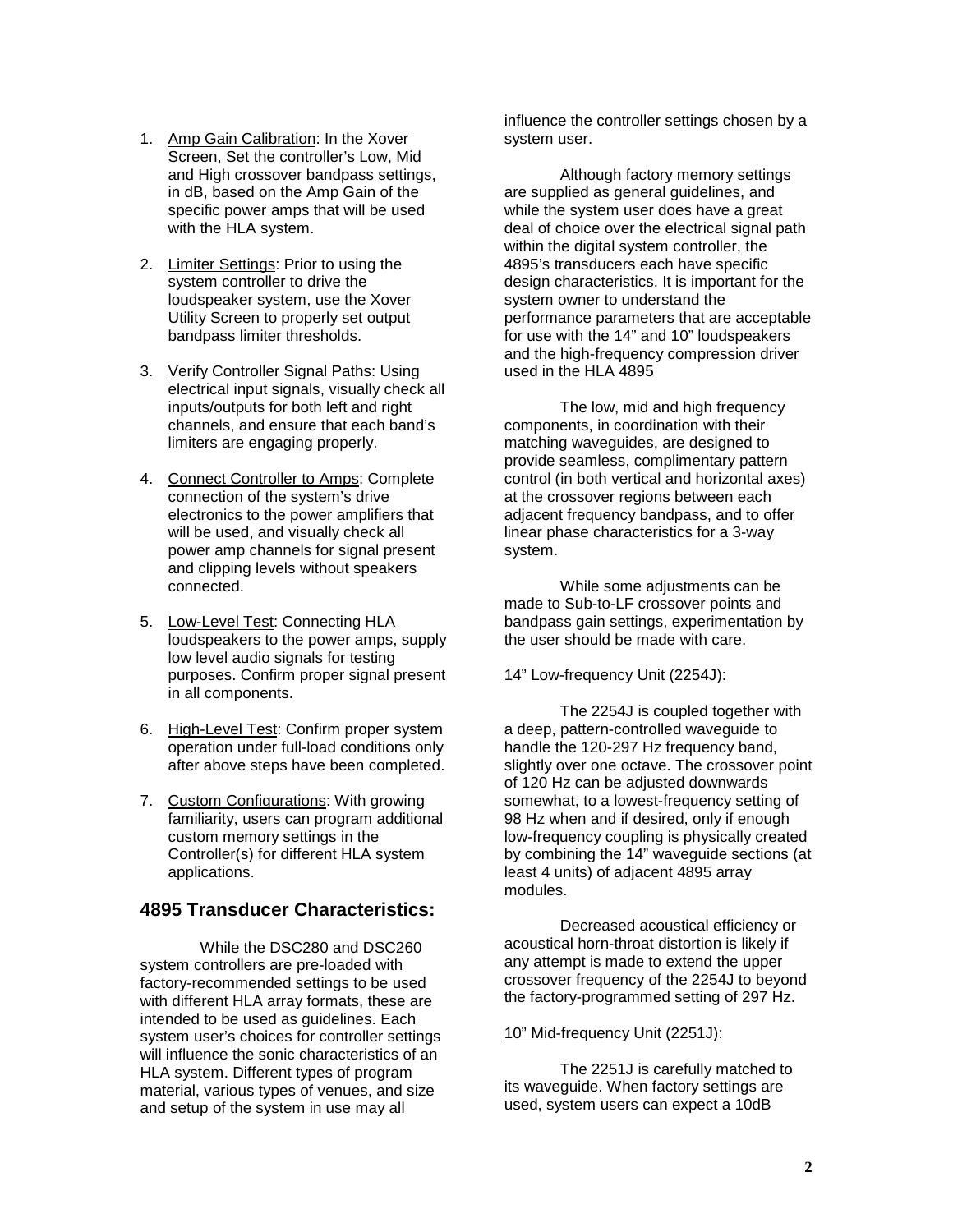- 1. Amp Gain Calibration: In the Xover Screen, Set the controller's Low, Mid and High crossover bandpass settings, in dB, based on the Amp Gain of the specific power amps that will be used with the HLA system.
- 2. Limiter Settings: Prior to using the system controller to drive the loudspeaker system, use the Xover Utility Screen to properly set output bandpass limiter thresholds.
- 3. Verify Controller Signal Paths: Using electrical input signals, visually check all inputs/outputs for both left and right channels, and ensure that each band's limiters are engaging properly.
- 4. Connect Controller to Amps: Complete connection of the system's drive electronics to the power amplifiers that will be used, and visually check all power amp channels for signal present and clipping levels without speakers connected.
- 5. Low-Level Test: Connecting HLA loudspeakers to the power amps, supply low level audio signals for testing purposes. Confirm proper signal present in all components.
- 6. High-Level Test: Confirm proper system operation under full-load conditions only after above steps have been completed.
- 7. Custom Configurations: With growing familiarity, users can program additional custom memory settings in the Controller(s) for different HLA system applications.

## **4895 Transducer Characteristics:**

 While the DSC280 and DSC260 system controllers are pre-loaded with factory-recommended settings to be used with different HLA array formats, these are intended to be used as guidelines. Each system user's choices for controller settings will influence the sonic characteristics of an HLA system. Different types of program material, various types of venues, and size and setup of the system in use may all

influence the controller settings chosen by a system user.

Although factory memory settings are supplied as general guidelines, and while the system user does have a great deal of choice over the electrical signal path within the digital system controller, the 4895's transducers each have specific design characteristics. It is important for the system owner to understand the performance parameters that are acceptable for use with the 14" and 10" loudspeakers and the high-frequency compression driver used in the HLA 4895

The low, mid and high frequency components, in coordination with their matching waveguides, are designed to provide seamless, complimentary pattern control (in both vertical and horizontal axes) at the crossover regions between each adjacent frequency bandpass, and to offer linear phase characteristics for a 3-way system.

While some adjustments can be made to Sub-to-LF crossover points and bandpass gain settings, experimentation by the user should be made with care.

#### 14" Low-frequency Unit (2254J):

The 2254J is coupled together with a deep, pattern-controlled waveguide to handle the 120-297 Hz frequency band. slightly over one octave. The crossover point of 120 Hz can be adjusted downwards somewhat, to a lowest-frequency setting of 98 Hz when and if desired, only if enough low-frequency coupling is physically created by combining the 14" waveguide sections (at least 4 units) of adjacent 4895 array modules.

Decreased acoustical efficiency or acoustical horn-throat distortion is likely if any attempt is made to extend the upper crossover frequency of the 2254J to beyond the factory-programmed setting of 297 Hz.

#### 10" Mid-frequency Unit (2251J):

The 2251J is carefully matched to its waveguide. When factory settings are used, system users can expect a 10dB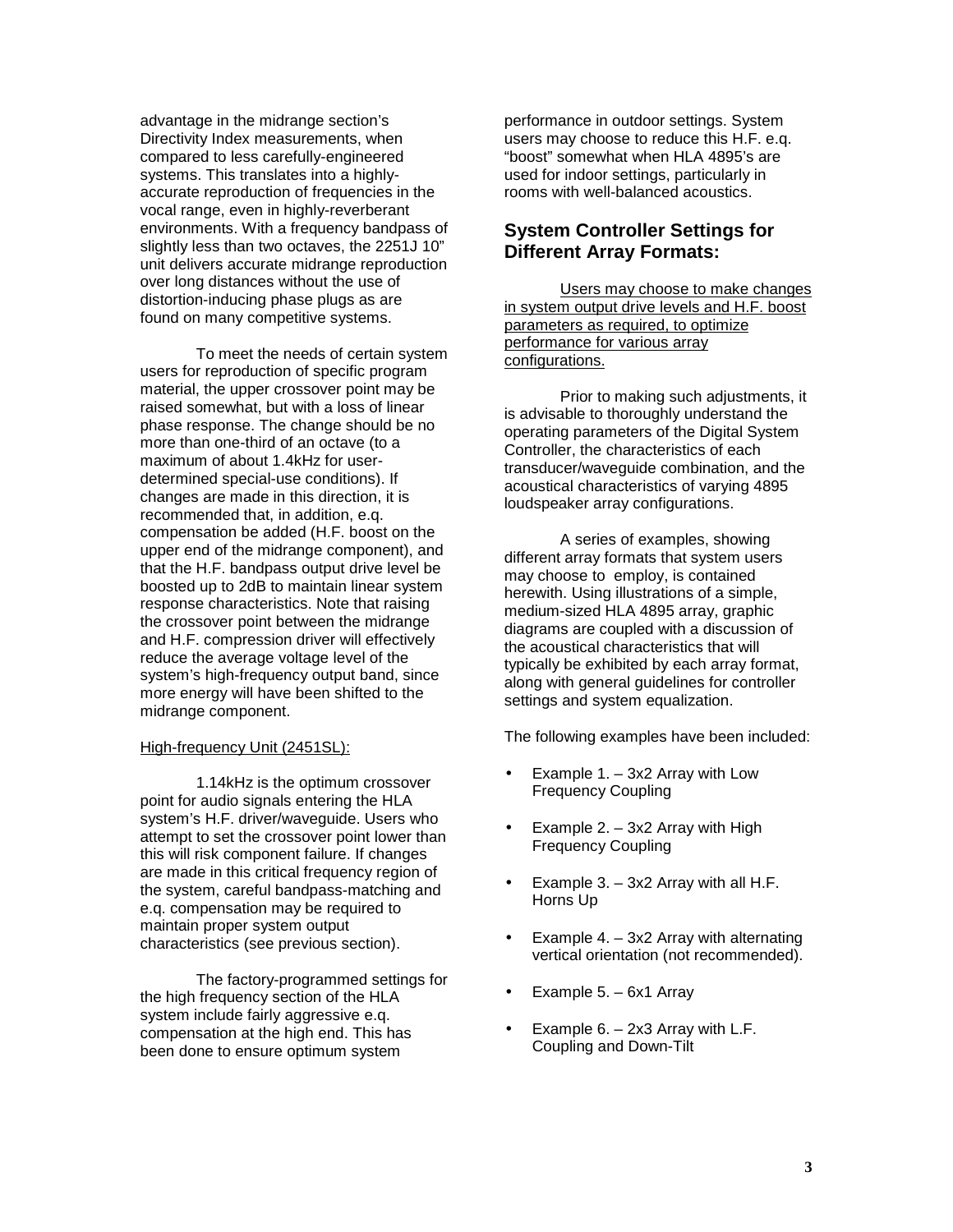advantage in the midrange section's Directivity Index measurements, when compared to less carefully-engineered systems. This translates into a highlyaccurate reproduction of frequencies in the vocal range, even in highly-reverberant environments. With a frequency bandpass of slightly less than two octaves, the 2251J 10" unit delivers accurate midrange reproduction over long distances without the use of distortion-inducing phase plugs as are found on many competitive systems.

To meet the needs of certain system users for reproduction of specific program material, the upper crossover point may be raised somewhat, but with a loss of linear phase response. The change should be no more than one-third of an octave (to a maximum of about 1.4kHz for userdetermined special-use conditions). If changes are made in this direction, it is recommended that, in addition, e.q. compensation be added (H.F. boost on the upper end of the midrange component), and that the H.F. bandpass output drive level be boosted up to 2dB to maintain linear system response characteristics. Note that raising the crossover point between the midrange and H.F. compression driver will effectively reduce the average voltage level of the system's high-frequency output band, since more energy will have been shifted to the midrange component.

#### High-frequency Unit (2451SL):

1.14kHz is the optimum crossover point for audio signals entering the HLA system's H.F. driver/waveguide. Users who attempt to set the crossover point lower than this will risk component failure. If changes are made in this critical frequency region of the system, careful bandpass-matching and e.q. compensation may be required to maintain proper system output characteristics (see previous section).

The factory-programmed settings for the high frequency section of the HLA system include fairly aggressive e.q. compensation at the high end. This has been done to ensure optimum system

performance in outdoor settings. System users may choose to reduce this H.F. e.q. "boost" somewhat when HLA 4895's are used for indoor settings, particularly in rooms with well-balanced acoustics.

#### **System Controller Settings for Different Array Formats:**

Users may choose to make changes in system output drive levels and H.F. boost parameters as required, to optimize performance for various array configurations.

Prior to making such adjustments, it is advisable to thoroughly understand the operating parameters of the Digital System Controller, the characteristics of each transducer/waveguide combination, and the acoustical characteristics of varying 4895 loudspeaker array configurations.

A series of examples, showing different array formats that system users may choose to employ, is contained herewith. Using illustrations of a simple, medium-sized HLA 4895 array, graphic diagrams are coupled with a discussion of the acoustical characteristics that will typically be exhibited by each array format, along with general guidelines for controller settings and system equalization.

The following examples have been included:

- Example  $1. 3x2$  Array with Low Frequency Coupling
- Example 2.  $-$  3x2 Array with High Frequency Coupling
- Example  $3. 3x2$  Array with all H.F. Horns Up
- Example  $4. 3x2$  Array with alternating vertical orientation (not recommended).
- Example 5. 6x1 Array
- Example  $6. 2x3$  Array with L.F. Coupling and Down-Tilt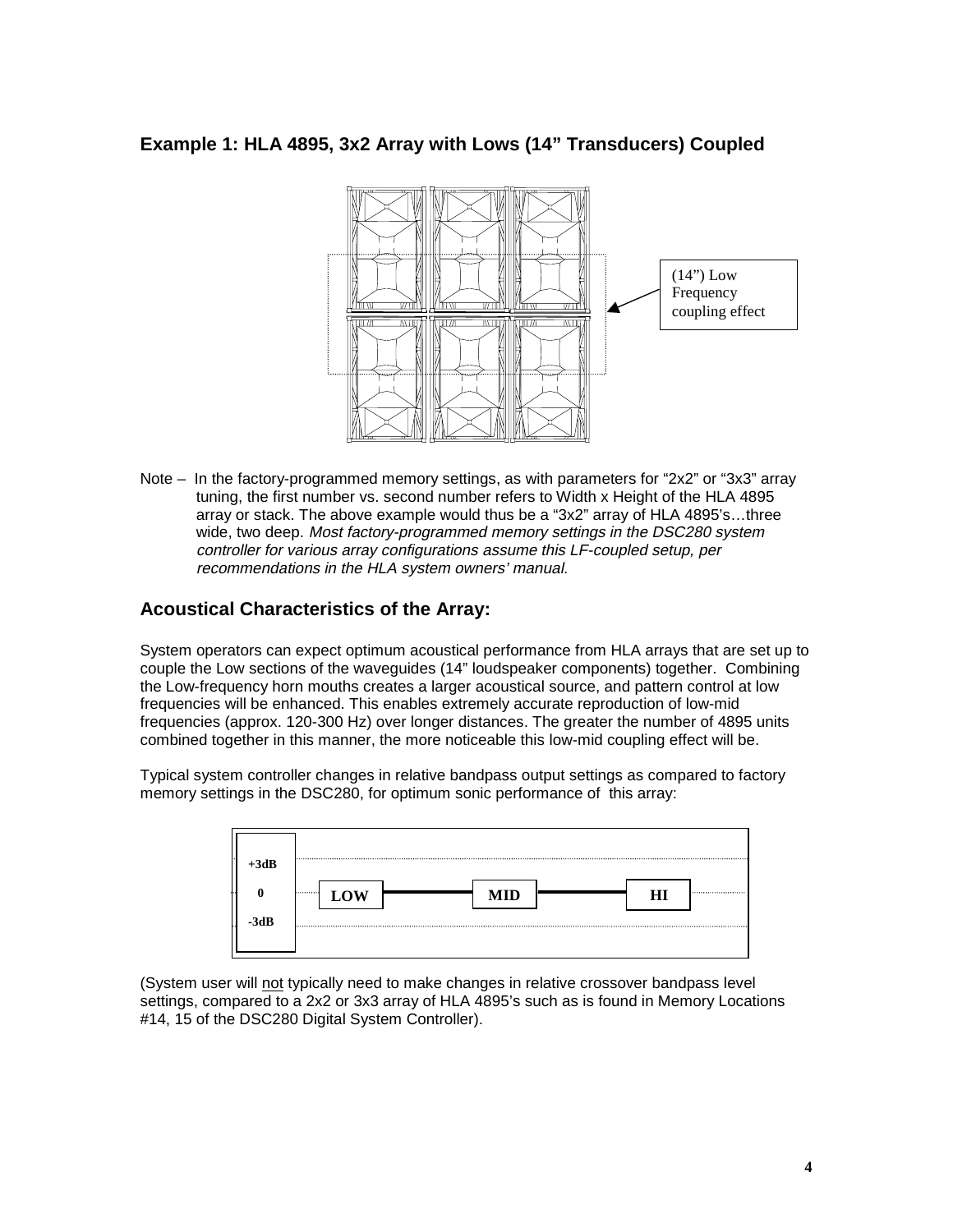## **Example 1: HLA 4895, 3x2 Array with Lows (14" Transducers) Coupled**



Note – In the factory-programmed memory settings, as with parameters for "2x2" or "3x3" array tuning, the first number vs. second number refers to Width x Height of the HLA 4895 array or stack. The above example would thus be a "3x2" array of HLA 4895's…three wide, two deep. Most factory-programmed memory settings in the DSC280 system controller for various array configurations assume this LF-coupled setup, per recommendations in the HLA system owners' manual.

#### **Acoustical Characteristics of the Array:**

System operators can expect optimum acoustical performance from HLA arrays that are set up to couple the Low sections of the waveguides (14" loudspeaker components) together. Combining the Low-frequency horn mouths creates a larger acoustical source, and pattern control at low frequencies will be enhanced. This enables extremely accurate reproduction of low-mid frequencies (approx. 120-300 Hz) over longer distances. The greater the number of 4895 units combined together in this manner, the more noticeable this low-mid coupling effect will be.

Typical system controller changes in relative bandpass output settings as compared to factory memory settings in the DSC280, for optimum sonic performance of this array:

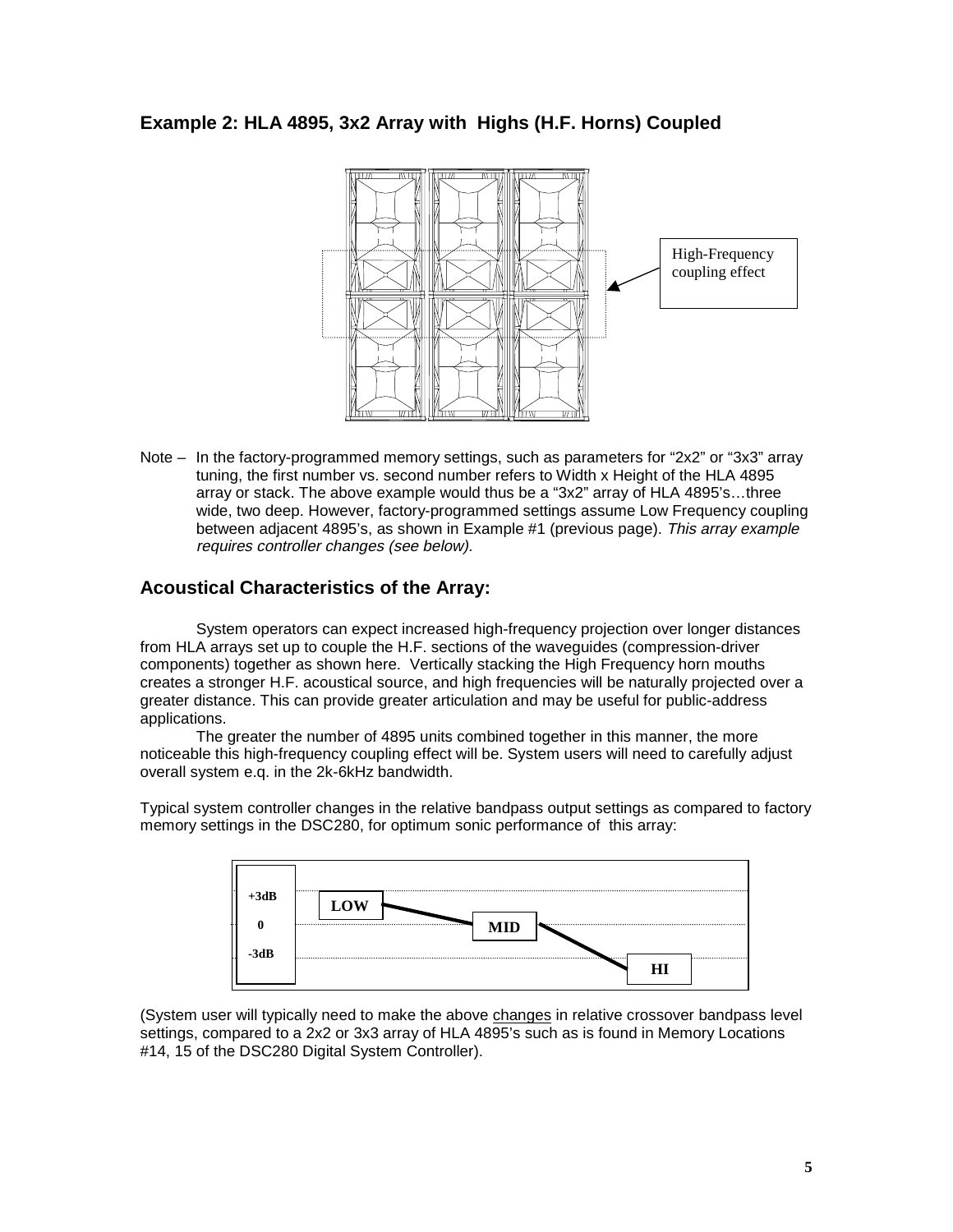## **Example 2: HLA 4895, 3x2 Array with Highs (H.F. Horns) Coupled**



Note – In the factory-programmed memory settings, such as parameters for "2x2" or "3x3" array tuning, the first number vs. second number refers to Width x Height of the HLA 4895 array or stack. The above example would thus be a "3x2" array of HLA 4895's…three wide, two deep. However, factory-programmed settings assume Low Frequency coupling between adjacent 4895's, as shown in Example #1 (previous page). This array example requires controller changes (see below).

#### **Acoustical Characteristics of the Array:**

System operators can expect increased high-frequency projection over longer distances from HLA arrays set up to couple the H.F. sections of the waveguides (compression-driver components) together as shown here. Vertically stacking the High Frequency horn mouths creates a stronger H.F. acoustical source, and high frequencies will be naturally projected over a greater distance. This can provide greater articulation and may be useful for public-address applications.

The greater the number of 4895 units combined together in this manner, the more noticeable this high-frequency coupling effect will be. System users will need to carefully adjust overall system e.q. in the 2k-6kHz bandwidth.

Typical system controller changes in the relative bandpass output settings as compared to factory memory settings in the DSC280, for optimum sonic performance of this array:

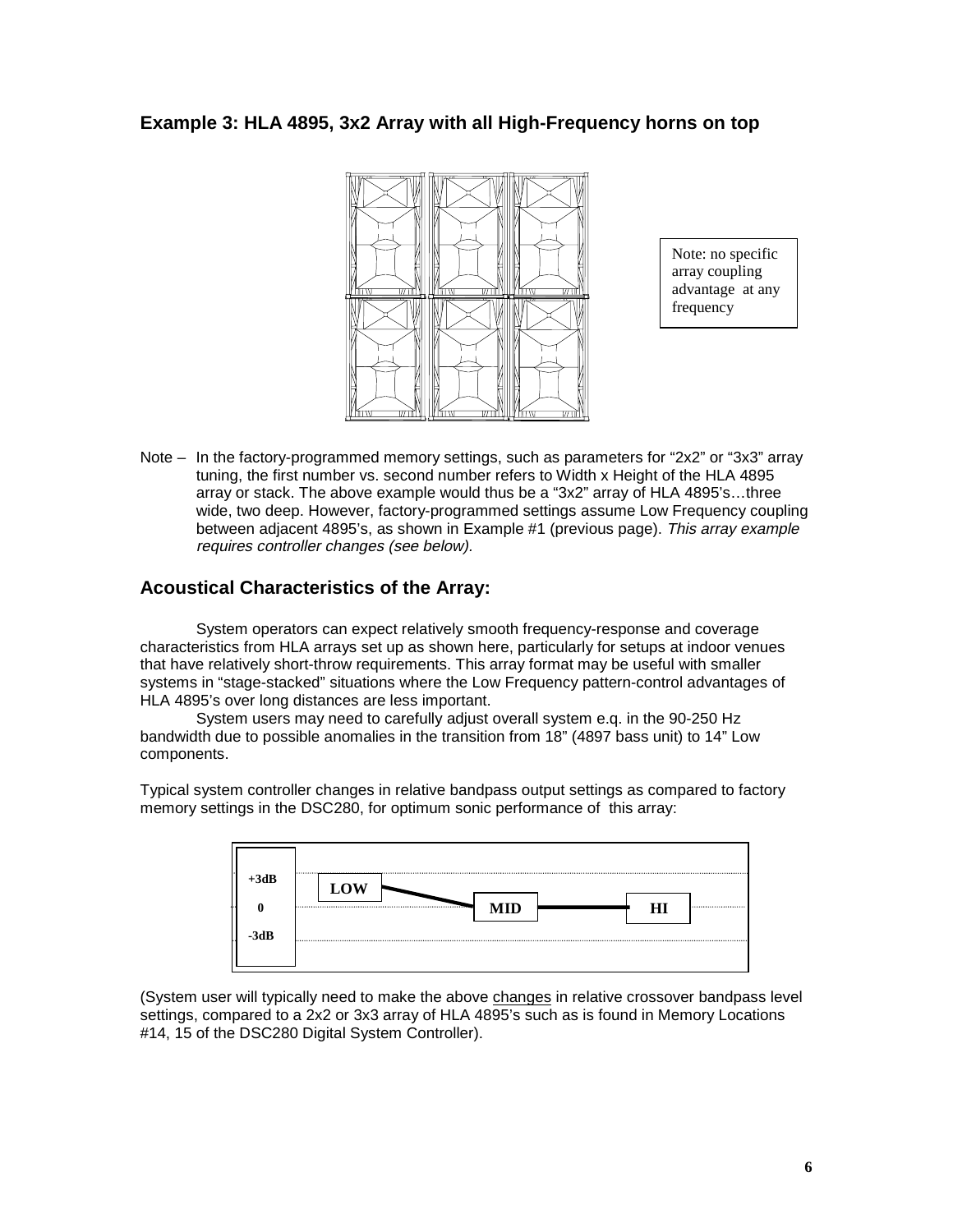#### **Example 3: HLA 4895, 3x2 Array with all High-Frequency horns on top**



Note: no specific array coupling advantage at any frequency

Note – In the factory-programmed memory settings, such as parameters for "2x2" or "3x3" array tuning, the first number vs. second number refers to Width x Height of the HLA 4895 array or stack. The above example would thus be a "3x2" array of HLA 4895's…three wide, two deep. However, factory-programmed settings assume Low Frequency coupling between adjacent 4895's, as shown in Example #1 (previous page). This array example requires controller changes (see below).

#### **Acoustical Characteristics of the Array:**

System operators can expect relatively smooth frequency-response and coverage characteristics from HLA arrays set up as shown here, particularly for setups at indoor venues that have relatively short-throw requirements. This array format may be useful with smaller systems in "stage-stacked" situations where the Low Frequency pattern-control advantages of HLA 4895's over long distances are less important.

System users may need to carefully adjust overall system e.q. in the 90-250 Hz bandwidth due to possible anomalies in the transition from 18" (4897 bass unit) to 14" Low components.

Typical system controller changes in relative bandpass output settings as compared to factory memory settings in the DSC280, for optimum sonic performance of this array:

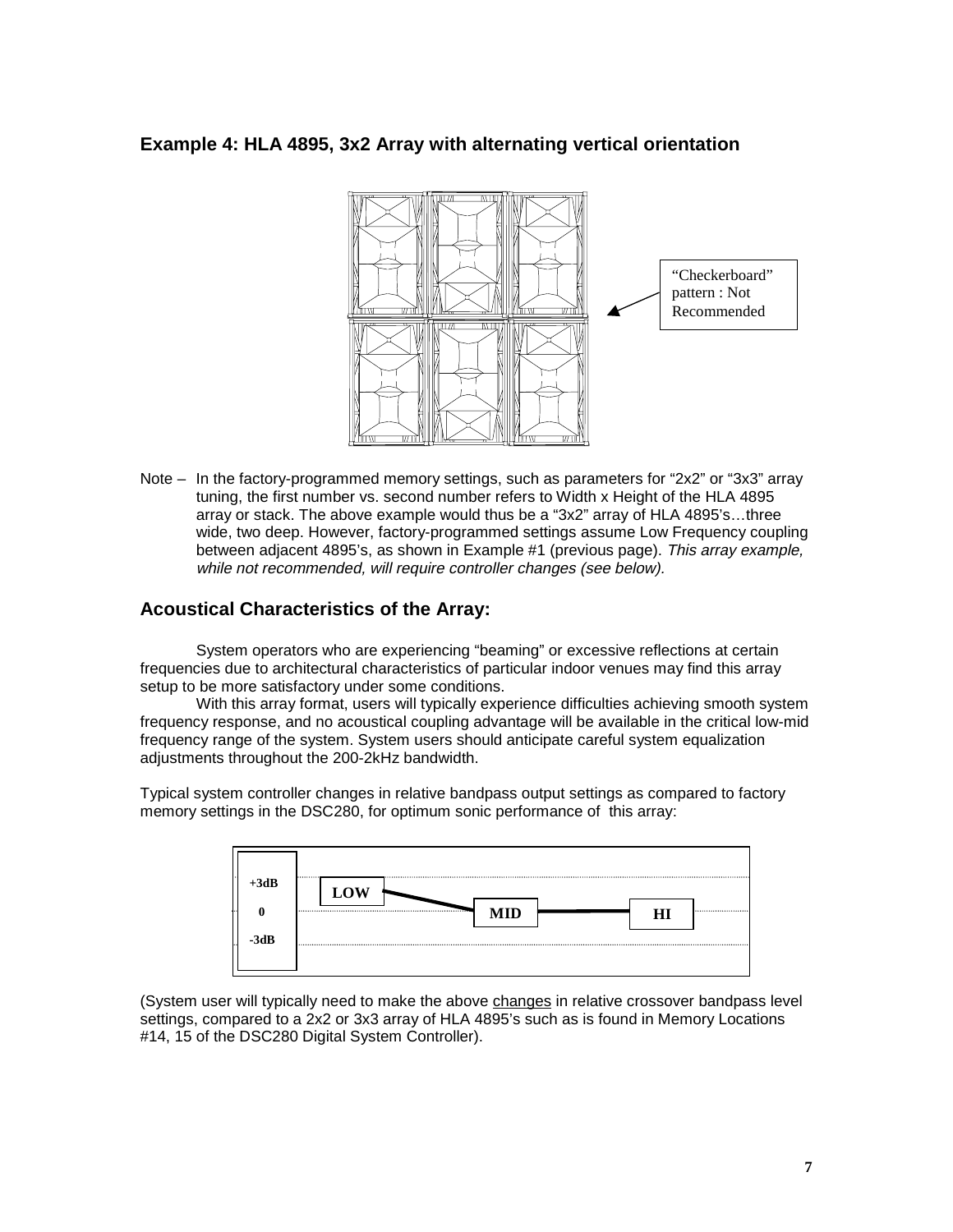#### **Example 4: HLA 4895, 3x2 Array with alternating vertical orientation**



Note – In the factory-programmed memory settings, such as parameters for "2x2" or "3x3" array tuning, the first number vs. second number refers to Width x Height of the HLA 4895 array or stack. The above example would thus be a "3x2" array of HLA 4895's…three wide, two deep. However, factory-programmed settings assume Low Frequency coupling between adjacent 4895's, as shown in Example #1 (previous page). This array example, while not recommended, will require controller changes (see below).

#### **Acoustical Characteristics of the Array:**

System operators who are experiencing "beaming" or excessive reflections at certain frequencies due to architectural characteristics of particular indoor venues may find this array setup to be more satisfactory under some conditions.

With this array format, users will typically experience difficulties achieving smooth system frequency response, and no acoustical coupling advantage will be available in the critical low-mid frequency range of the system. System users should anticipate careful system equalization adjustments throughout the 200-2kHz bandwidth.

Typical system controller changes in relative bandpass output settings as compared to factory memory settings in the DSC280, for optimum sonic performance of this array:

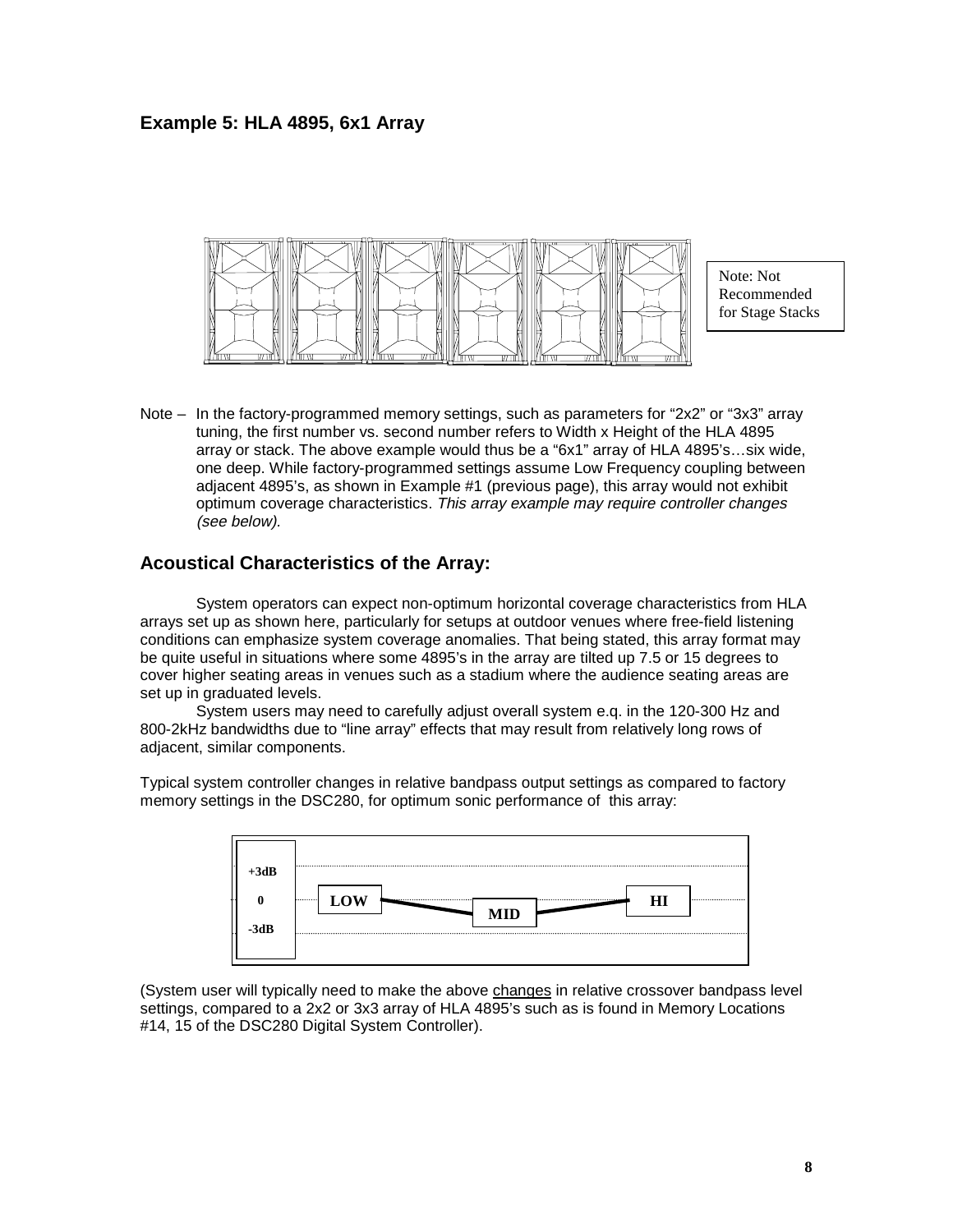#### **Example 5: HLA 4895, 6x1 Array**



Note: Not Recommended for Stage Stacks

Note – In the factory-programmed memory settings, such as parameters for "2x2" or "3x3" array tuning, the first number vs. second number refers to Width x Height of the HLA 4895 array or stack. The above example would thus be a "6x1" array of HLA 4895's…six wide, one deep. While factory-programmed settings assume Low Frequency coupling between adjacent 4895's, as shown in Example #1 (previous page), this array would not exhibit optimum coverage characteristics. This array example may require controller changes (see below).

#### **Acoustical Characteristics of the Array:**

System operators can expect non-optimum horizontal coverage characteristics from HLA arrays set up as shown here, particularly for setups at outdoor venues where free-field listening conditions can emphasize system coverage anomalies. That being stated, this array format may be quite useful in situations where some 4895's in the array are tilted up 7.5 or 15 degrees to cover higher seating areas in venues such as a stadium where the audience seating areas are set up in graduated levels.

System users may need to carefully adjust overall system e.q. in the 120-300 Hz and 800-2kHz bandwidths due to "line array" effects that may result from relatively long rows of adjacent, similar components.

Typical system controller changes in relative bandpass output settings as compared to factory memory settings in the DSC280, for optimum sonic performance of this array:

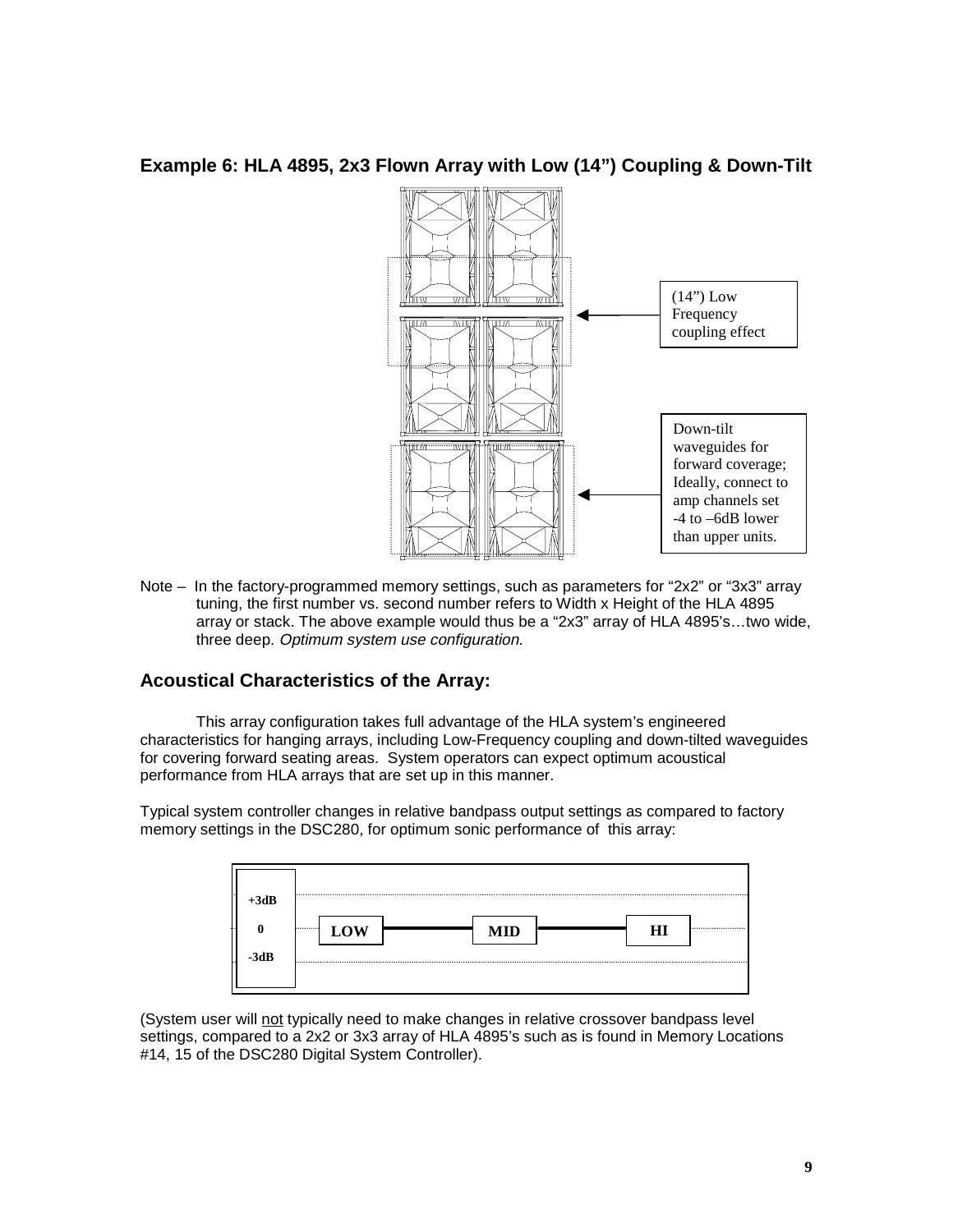#### **Example 6: HLA 4895, 2x3 Flown Array with Low (14") Coupling & Down-Tilt**



Note – In the factory-programmed memory settings, such as parameters for "2x2" or "3x3" array tuning, the first number vs. second number refers to Width x Height of the HLA 4895 array or stack. The above example would thus be a "2x3" array of HLA 4895's…two wide, three deep. Optimum system use configuration.

## **Acoustical Characteristics of the Array:**

This array configuration takes full advantage of the HLA system's engineered characteristics for hanging arrays, including Low-Frequency coupling and down-tilted waveguides for covering forward seating areas. System operators can expect optimum acoustical performance from HLA arrays that are set up in this manner.

Typical system controller changes in relative bandpass output settings as compared to factory memory settings in the DSC280, for optimum sonic performance of this array: